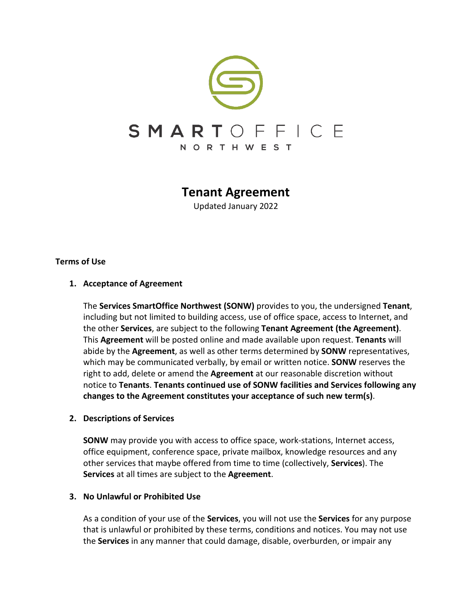

# **Tenant Agreement**

Updated January 2022

## **Terms of Use**

## **1. Acceptance of Agreement**

The **Services SmartOffice Northwest (SONW)** provides to you, the undersigned **Tenant**, including but not limited to building access, use of office space, access to Internet, and the other **Services**, are subject to the following **Tenant Agreement (the Agreement)**. This **Agreement** will be posted online and made available upon request. **Tenants** will abide by the **Agreement**, as well as other terms determined by **SONW** representatives, which may be communicated verbally, by email or written notice. **SONW** reserves the right to add, delete or amend the **Agreement** at our reasonable discretion without notice to **Tenants**. **Tenants continued use of SONW facilities and Services following any changes to the Agreement constitutes your acceptance of such new term(s)**.

## **2. Descriptions of Services**

**SONW** may provide you with access to office space, work-stations, Internet access, office equipment, conference space, private mailbox, knowledge resources and any other services that maybe offered from time to time (collectively, **Services**). The **Services** at all times are subject to the **Agreement**.

## **3. No Unlawful or Prohibited Use**

As a condition of your use of the **Services**, you will not use the **Services** for any purpose that is unlawful or prohibited by these terms, conditions and notices. You may not use the **Services** in any manner that could damage, disable, overburden, or impair any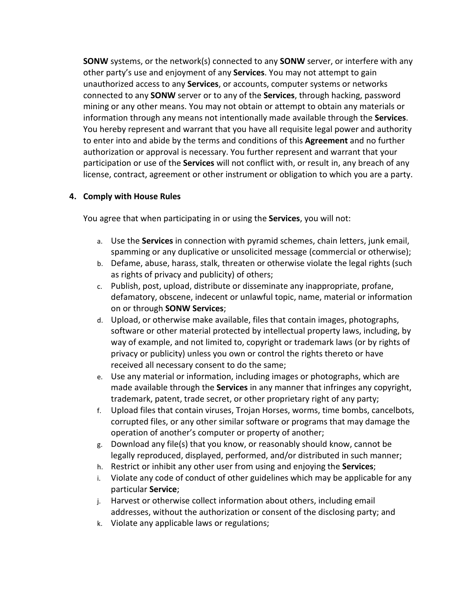**SONW** systems, or the network(s) connected to any **SONW** server, or interfere with any other party's use and enjoyment of any **Services**. You may not attempt to gain unauthorized access to any **Services**, or accounts, computer systems or networks connected to any **SONW** server or to any of the **Services**, through hacking, password mining or any other means. You may not obtain or attempt to obtain any materials or information through any means not intentionally made available through the **Services**. You hereby represent and warrant that you have all requisite legal power and authority to enter into and abide by the terms and conditions of this **Agreement** and no further authorization or approval is necessary. You further represent and warrant that your participation or use of the **Services** will not conflict with, or result in, any breach of any license, contract, agreement or other instrument or obligation to which you are a party.

## **4. Comply with House Rules**

You agree that when participating in or using the **Services**, you will not:

- a. Use the **Services** in connection with pyramid schemes, chain letters, junk email, spamming or any duplicative or unsolicited message (commercial or otherwise);
- b. Defame, abuse, harass, stalk, threaten or otherwise violate the legal rights (such as rights of privacy and publicity) of others;
- c. Publish, post, upload, distribute or disseminate any inappropriate, profane, defamatory, obscene, indecent or unlawful topic, name, material or information on or through **SONW Services**;
- d. Upload, or otherwise make available, files that contain images, photographs, software or other material protected by intellectual property laws, including, by way of example, and not limited to, copyright or trademark laws (or by rights of privacy or publicity) unless you own or control the rights thereto or have received all necessary consent to do the same;
- e. Use any material or information, including images or photographs, which are made available through the **Services** in any manner that infringes any copyright, trademark, patent, trade secret, or other proprietary right of any party;
- f. Upload files that contain viruses, Trojan Horses, worms, time bombs, cancelbots, corrupted files, or any other similar software or programs that may damage the operation of another's computer or property of another;
- g. Download any file(s) that you know, or reasonably should know, cannot be legally reproduced, displayed, performed, and/or distributed in such manner;
- h. Restrict or inhibit any other user from using and enjoying the **Services**;
- i. Violate any code of conduct of other guidelines which may be applicable for any particular **Service**;
- j. Harvest or otherwise collect information about others, including email addresses, without the authorization or consent of the disclosing party; and
- k. Violate any applicable laws or regulations;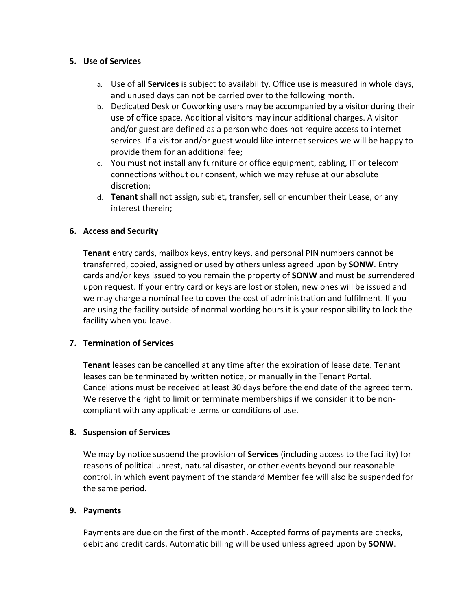## **5. Use of Services**

- a. Use of all **Services** is subject to availability. Office use is measured in whole days, and unused days can not be carried over to the following month.
- b. Dedicated Desk or Coworking users may be accompanied by a visitor during their use of office space. Additional visitors may incur additional charges. A visitor and/or guest are defined as a person who does not require access to internet services. If a visitor and/or guest would like internet services we will be happy to provide them for an additional fee;
- c. You must not install any furniture or office equipment, cabling, IT or telecom connections without our consent, which we may refuse at our absolute discretion;
- d. **Tenant** shall not assign, sublet, transfer, sell or encumber their Lease, or any interest therein;

## **6. Access and Security**

**Tenant** entry cards, mailbox keys, entry keys, and personal PIN numbers cannot be transferred, copied, assigned or used by others unless agreed upon by **SONW**. Entry cards and/or keys issued to you remain the property of **SONW** and must be surrendered upon request. If your entry card or keys are lost or stolen, new ones will be issued and we may charge a nominal fee to cover the cost of administration and fulfilment. If you are using the facility outside of normal working hours it is your responsibility to lock the facility when you leave.

## **7. Termination of Services**

**Tenant** leases can be cancelled at any time after the expiration of lease date. Tenant leases can be terminated by written notice, or manually in the Tenant Portal. Cancellations must be received at least 30 days before the end date of the agreed term. We reserve the right to limit or terminate memberships if we consider it to be noncompliant with any applicable terms or conditions of use.

## **8. Suspension of Services**

We may by notice suspend the provision of **Services** (including access to the facility) for reasons of political unrest, natural disaster, or other events beyond our reasonable control, in which event payment of the standard Member fee will also be suspended for the same period.

## **9. Payments**

Payments are due on the first of the month. Accepted forms of payments are checks, debit and credit cards. Automatic billing will be used unless agreed upon by **SONW**.